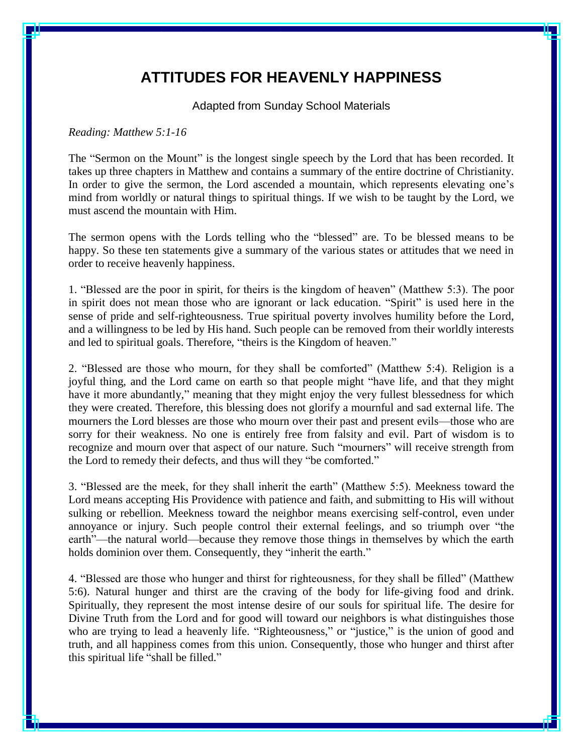## **ATTITUDES FOR HEAVENLY HAPPINESS**

Adapted from Sunday School Materials

## *Reading: Matthew 5:1-16*

The "Sermon on the Mount" is the longest single speech by the Lord that has been recorded. It takes up three chapters in Matthew and contains a summary of the entire doctrine of Christianity. In order to give the sermon, the Lord ascended a mountain, which represents elevating one's mind from worldly or natural things to spiritual things. If we wish to be taught by the Lord, we must ascend the mountain with Him.

The sermon opens with the Lords telling who the "blessed" are. To be blessed means to be happy. So these ten statements give a summary of the various states or attitudes that we need in order to receive heavenly happiness.

1. "Blessed are the poor in spirit, for theirs is the kingdom of heaven" (Matthew 5:3). The poor in spirit does not mean those who are ignorant or lack education. "Spirit" is used here in the sense of pride and self-righteousness. True spiritual poverty involves humility before the Lord, and a willingness to be led by His hand. Such people can be removed from their worldly interests and led to spiritual goals. Therefore, "theirs is the Kingdom of heaven."

2. "Blessed are those who mourn, for they shall be comforted" (Matthew 5:4). Religion is a joyful thing, and the Lord came on earth so that people might "have life, and that they might have it more abundantly," meaning that they might enjoy the very fullest blessedness for which they were created. Therefore, this blessing does not glorify a mournful and sad external life. The mourners the Lord blesses are those who mourn over their past and present evils—those who are sorry for their weakness. No one is entirely free from falsity and evil. Part of wisdom is to recognize and mourn over that aspect of our nature. Such "mourners" will receive strength from the Lord to remedy their defects, and thus will they "be comforted."

3. "Blessed are the meek, for they shall inherit the earth" (Matthew 5:5). Meekness toward the Lord means accepting His Providence with patience and faith, and submitting to His will without sulking or rebellion. Meekness toward the neighbor means exercising self-control, even under annoyance or injury. Such people control their external feelings, and so triumph over "the earth"—the natural world—because they remove those things in themselves by which the earth holds dominion over them. Consequently, they "inherit the earth."

4. "Blessed are those who hunger and thirst for righteousness, for they shall be filled" (Matthew 5:6). Natural hunger and thirst are the craving of the body for life-giving food and drink. Spiritually, they represent the most intense desire of our souls for spiritual life. The desire for Divine Truth from the Lord and for good will toward our neighbors is what distinguishes those who are trying to lead a heavenly life. "Righteousness," or "justice," is the union of good and truth, and all happiness comes from this union. Consequently, those who hunger and thirst after this spiritual life "shall be filled."